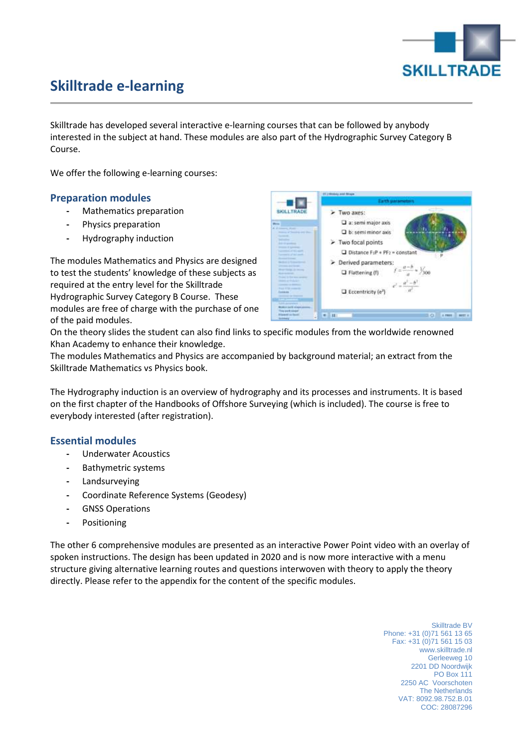

# **Skilltrade e-learning**

Skilltrade has developed several interactive e-learning courses that can be followed by anybody interested in the subject at hand. These modules are also part of the Hydrographic Survey Category B Course.

We offer the following e-learning courses:

## **Preparation modules**

- **-** Mathematics preparation
- **-** Physics preparation
- **-** Hydrography induction

The modules Mathematics and Physics are designed to test the students' knowledge of these subjects as required at the entry level for the Skilltrade Hydrographic Survey Category B Course. These modules are free of charge with the purchase of one of the paid modules.



On the theory slides the student can also find links to specific modules from the worldwide renowned Khan Academy to enhance their knowledge.

The modules Mathematics and Physics are accompanied by background material; an extract from the Skilltrade Mathematics vs Physics book.

The Hydrography induction is an overview of hydrography and its processes and instruments. It is based on the first chapter of the Handbooks of Offshore Surveying (which is included). The course is free to everybody interested (after registration).

## **Essential modules**

- **-** Underwater Acoustics
- **-** Bathymetric systems
- **-** Landsurveying
- **-** Coordinate Reference Systems (Geodesy)
- **-** GNSS Operations
- **-** Positioning

The other 6 comprehensive modules are presented as an interactive Power Point video with an overlay of spoken instructions. The design has been updated in 2020 and is now more interactive with a menu structure giving alternative learning routes and questions interwoven with theory to apply the theory directly. Please refer to the appendix for the content of the specific modules.

> Skilltrade BV Phone: +31 (0)71 561 13 65 Fax: +31 (0)71 561 15 03 www.skilltrade.nl Gerleeweg 10 2201 DD Noordwijk PO Box 111 2250 AC Voorschoten The Netherlands VAT: 8092.98.752.B.01 COC: 28087296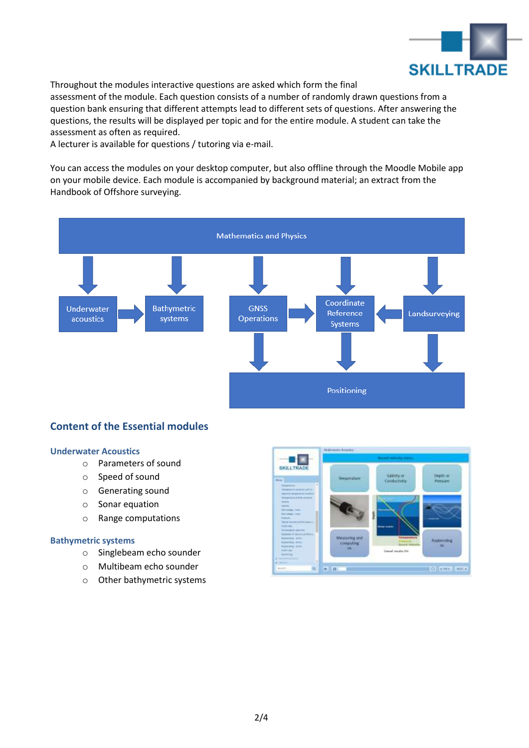

Throughout the modules interactive questions are asked which form the final

assessment of the module. Each question consists of a number of randomly drawn questions from a question bank ensuring that different attempts lead to different sets of questions. After answering the questions, the results will be displayed per topic and for the entire module. A student can take the assessment as often as required.

A lecturer is available for questions / tutoring via e-mail.

You can access the modules on your desktop computer, but also offline through the Moodle Mobile app on your mobile device. Each module is accompanied by background material; an extract from the Handbook of Offshore surveying.



# **Content of the Essential modules**

#### **Underwater Acoustics**

- o Parameters of sound
- o Speed of sound
- o Generating sound
- o Sonar equation
- o Range computations

#### **Bathymetric systems**

- o Singlebeam echo sounder
- o Multibeam echo sounder
- o Other bathymetric systems

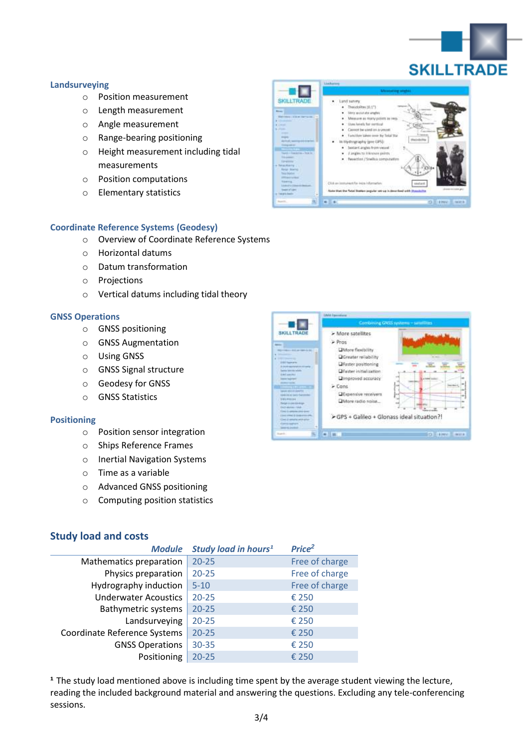

#### **Landsurveying**

- o Position measurement
- o Length measurement
- o Angle measurement
- o Range-bearing positioning
- o Height measurement including tidal measurements
- o Position computations
- o Elementary statistics



## **Coordinate Reference Systems (Geodesy)**

- o Overview of Coordinate Reference Systems
- o Horizontal datums
- o Datum transformation
- o Projections
- o Vertical datums including tidal theory

#### **GNSS Operations**

- o GNSS positioning
- o GNSS Augmentation
- o Using GNSS
- o GNSS Signal structure
- o Geodesy for GNSS
- o GNSS Statistics

#### **Positioning**

- o Position sensor integration
- o Ships Reference Frames
- o Inertial Navigation Systems
- o Time as a variable
- o Advanced GNSS positioning
- o Computing position statistics



## **Study load and costs**

| <b>Module</b>                | Study load in hours <sup>1</sup> | Price <sup>2</sup> |
|------------------------------|----------------------------------|--------------------|
| Mathematics preparation      | $20 - 25$                        | Free of charge     |
| Physics preparation          | $20 - 25$                        | Free of charge     |
| Hydrography induction        | $5 - 10$                         | Free of charge     |
| <b>Underwater Acoustics</b>  | $20 - 25$                        | € 250              |
| <b>Bathymetric systems</b>   | $20 - 25$                        | € 250              |
| Landsurveying                | $20 - 25$                        | € 250              |
| Coordinate Reference Systems | $20 - 25$                        | € 250              |
| <b>GNSS Operations</b>       | $30 - 35$                        | € 250              |
| Positioning                  | $20 - 25$                        | € 250              |

<sup>1</sup> The study load mentioned above is including time spent by the average student viewing the lecture, reading the included background material and answering the questions. Excluding any tele-conferencing sessions.